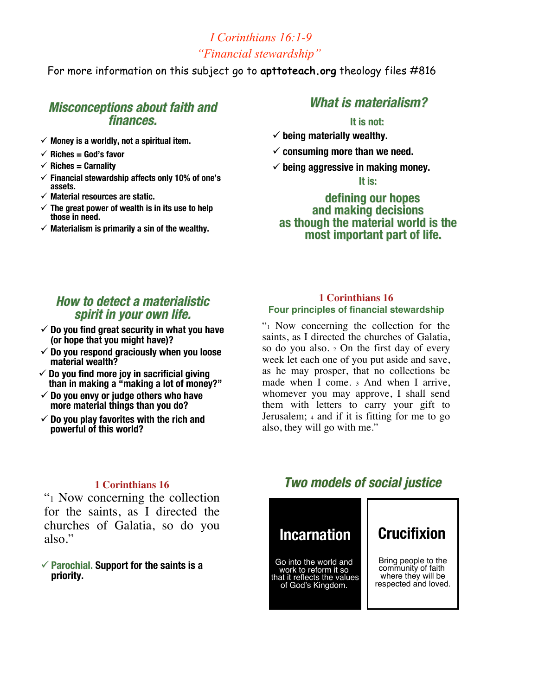### *I Corinthians 16:1-9 "Financial stewardship"*

For more information on this subject go to **apttoteach.org** theology files #816

### **Misconceptions about faith and Misconceptions faith and finances. finances.**

- $\checkmark$  Money is a worldly, not a spiritual item.
- $\checkmark$  Riches = God's favor
- $\checkmark$  Riches = Carnality
- **Financial stewardship affects only 10% of one's assets.**
- **Material resources are static.**
- **The great power of wealth is in its use to help those in need.**
- $\checkmark$  Materialism is primarily a sin of the wealthy.

### **What is materialism? What is materialism?**

#### **It is not: It is not:**

- $\checkmark$  being materially wealthy.
- **consuming more than we need.**
- $\checkmark$  being aggressive in making money.

**It is:**

### **defining our hopes defining our hopes and making decisions and making decisions as though the material world is the as though the material world is the most important part of life. most important part of life.**

### **How to detect a materialistic How to detect a materialistic spirit in your own life. in your own life.**

- **Do you find great security in what you have (or hope that you might have)?**
- **Do you respond graciously when you loose material wealth?**
- **Do you find more joy in sacrificial giving than in making a "making a lot of money?"**
- **Do you envy or judge others who have more material things than you do?**
- **Do you play favorites with the rich and powerful of this world?**

### **1 Corinthians 16 Four principles of financial stewardship**

"1 Now concerning the collection for the saints, as I directed the churches of Galatia, so do you also. <sup>2</sup> On the first day of every week let each one of you put aside and save, as he may prosper, that no collections be made when I come. <sup>3</sup> And when I arrive, whomever you may approve, I shall send them with letters to carry your gift to Jerusalem; <sup>4</sup> and if it is fitting for me to go also, they will go with me."

### **1 Corinthians 16**

"1 Now concerning the collection for the saints, as I directed the churches of Galatia, so do you also."

#### **Parochial. Parochial. Support for the saints is a priority.**

## **Two models of social justice Two models of social justice**

# **Incarnation**

Go into the world and work to reform it so that it reflects the values of God's Kingdom.

# **Crucifixion**

Bring people to the community of faith where they will be respected and loved.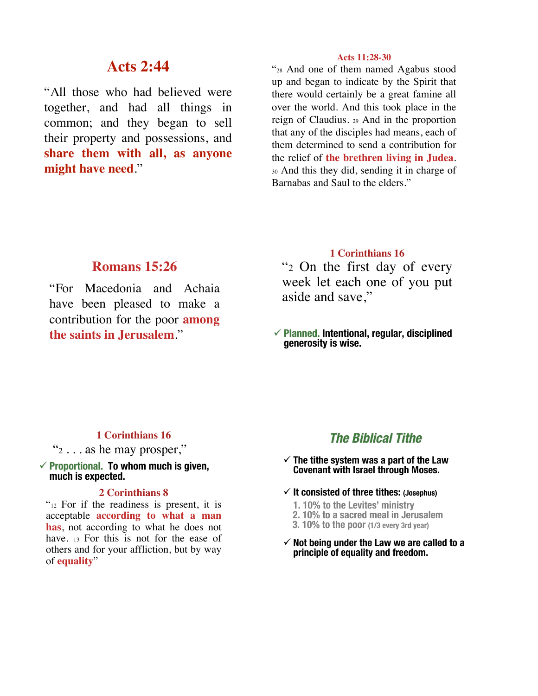### **Acts 2:44**

"All those who had believed were together, and had all things in common; and they began to sell their property and possessions, and **share them with all, as anyone might have need**."

#### **Acts 11:28-30**

"28 And one of them named Agabus stood up and began to indicate by the Spirit that there would certainly be a great famine all over the world. And this took place in the reign of Claudius. <sup>29</sup> And in the proportion that any of the disciples had means, each of them determined to send a contribution for the relief of **the brethren living in Judea**. <sup>30</sup> And this they did, sending it in charge of Barnabas and Saul to the elders."

### **Romans 15:26**

"For Macedonia and Achaia have been pleased to make a contribution for the poor **among the saints in Jerusalem**."

### **1 Corinthians 16**

"2 On the first day of every week let each one of you put aside and save,"

 **Planned. Planned. Intentional, regular, disciplined generosity is wise.**

### **1 Corinthians 16**

 $\mathcal{L}_2$ ... as he may prosper,"

#### **Proportional. Proportional. To whom much is given, much is expected.**

### **2 Corinthians 8**

"<sup>12</sup> For if the readiness is present, it is acceptable **according to what a man has**, not according to what he does not have. 13 For this is not for the ease of others and for your affliction, but by way of **equality**"

### **The Biblical Tithe The Biblical Tithe**

- **The tithe system was a part of the Law Covenant with Israel through Moses.**
- **It consisted of three tithes: (Josephus)**
	- **1. 10% to the Levites' ministry**
	- **2. 10% to a sacred meal in Jerusalem**
	- **3. 10% to the poor (1/3 every 3rd year)**
- $\checkmark$  Not being under the Law we are called to a **principle of equality and freedom.**